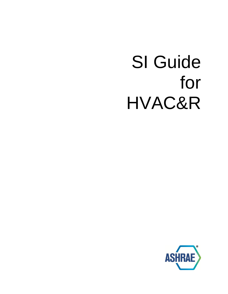# SI Guide for HVAC&R

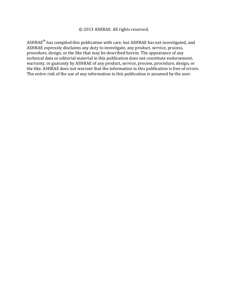#### © 2013 ASHRAE. All rights reserved.

ASHRAE $^{\circledR}$  has compiled this publication with care, but ASHRAE has not investigated, and ASHRAE expressly disclaims any duty to investigate, any product, service, process, procedure, design, or the like that may be described herein. The appearance of any technical data or editorial material in this publication does not constitute endorsement, warranty, or guaranty by ASHRAE of any product, service, process, procedure, design, or the like. ASHRAE does not warrant that the information in this publication is free of errors. The entire risk of the use of any information in this publication is assumed by the user.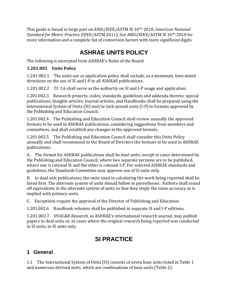This guide is based in large part on ANSI/IEEE/ASTM SI 10™-2010, *American National Standard for Metric Practice* (IEEE/ASTM 2011). See ANSI/IEEE/ASTM SI 10™-2010 for more information and a complete list of conversion factors with more significant digits.

# **ASHRAE UNITS POLICY**

The following is excerpted from ASHRAE's Rules of the Board:

#### **1.201.002 Units Policy**

1.201.002.1 The units use or application policy shall include, as a minimum, time-dated directions on the use of SI and I-P in all ASHRAE publications.

1.201.002.2 TC 1.6 shall serve as the authority on SI and I-P usage and application.

1.201.002.3 Research projects; codes, standards, guidelines and addenda thereto; special publications; Insights articles; Journal articles; and Handbooks shall be prepared using the International System of Units (SI) and/or inch-pound units (I-P) in formats approved by the Publishing and Education Council.

1.201.002.4 The Publishing and Education Council shall review annually the approved formats to be used in ASHRAE publications, considering suggestions from members and committees, and shall establish any changes in the approved formats.

1.201.002.5 The Publishing and Education Council shall consider this Units Policy annually and shall recommend to the Board of Directors the formats to be used in ASHRAE publications.

A. The format for ASHRAE publications shall be dual units, except in cases determined by the Publishing and Education Council, where two separate versions are to be published, where one is rational SI and the other is rational I-P. For selected ASHRAE standards and guidelines, the Standards Committee may approve use of SI units only.

B. In dual unit publications, the units used in calculating the work being reported shall be listed first. The alternate system of units should follow in parentheses. Authors shall round off equivalents in the alternate system of units so that they imply the same accuracy as is implied with primary units.

C. Exceptions require the approval of the Director of Publishing and Education.

1.201.002.6 Handbook volumes shall be published in separate SI and I-P editions.

1.201.002.7 *HVAC&R Research*, as ASHRAE's international research journal, may publish papers in dual units or, in cases where the original research being reported was conducted in SI units, in SI units only.

# **SI PRACTICE**

# **1 General**

1.1 The International System of Units (SI) consists of seven base units listed in Table 1 and numerous derived units, which are combinations of base units (Table 2).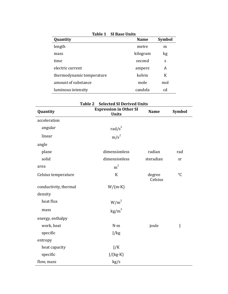| Quantity                  | <b>Name</b> | <b>Symbol</b> |
|---------------------------|-------------|---------------|
| length                    | metre       | m             |
| mass                      | kilogram    | kg            |
| time                      | second      | S             |
| electric current          | ampere      | A             |
| thermodynamic temperature | kelvin      | K             |
| amount of substance       | mole        | mol           |
| luminous intensity        | candela     | cd            |

|                       | <b>Table 2</b><br><b>Selected SI Derived Units</b> |                   |                 |
|-----------------------|----------------------------------------------------|-------------------|-----------------|
| Quantity              | <b>Expression in Other SI</b><br><b>Units</b>      | <b>Name</b>       | <b>Symbol</b>   |
| acceleration          |                                                    |                   |                 |
| angular               | rad/ $s^2$                                         |                   |                 |
| linear                | $m/s^2$                                            |                   |                 |
| angle                 |                                                    |                   |                 |
| plane                 | dimensionless                                      | radian            | rad             |
| solid                 | dimensionless                                      | steradian         | sr              |
| area                  | m <sup>2</sup>                                     |                   |                 |
| Celsius temperature   | $\mathbf K$                                        | degree<br>Celsius | $\rm ^{\circ}C$ |
| conductivity, thermal | $W/(m \cdot K)$                                    |                   |                 |
| density               |                                                    |                   |                 |
| heat flux             | $W/m^2$                                            |                   |                 |
| mass                  | $\text{kg/m}^3$                                    |                   |                 |
| energy, enthalpy      |                                                    |                   |                 |
| work, heat            | $N \cdot m$                                        | joule             | J               |
| specific              | J/kg                                               |                   |                 |
| entropy               |                                                    |                   |                 |
| heat capacity         | J/K                                                |                   |                 |
| specific              | J/(kg·K)                                           |                   |                 |
| flow, mass            | kg/s                                               |                   |                 |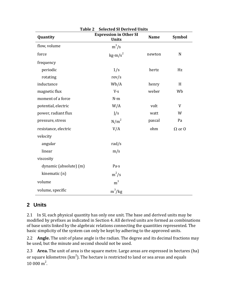| Table 2<br><b>Selected SI Derived Units</b> |                                               |             |                 |  |  |  |
|---------------------------------------------|-----------------------------------------------|-------------|-----------------|--|--|--|
| Quantity                                    | <b>Expression in Other SI</b><br><b>Units</b> | <b>Name</b> | Symbol          |  |  |  |
| flow, volume                                | $m^3/s$                                       |             |                 |  |  |  |
| force                                       | $\text{kg}\cdot\text{m/s}^2$                  | newton      | ${\bf N}$       |  |  |  |
| frequency                                   |                                               |             |                 |  |  |  |
| periodic                                    | 1/s                                           | hertz       | Hz              |  |  |  |
| rotating                                    | rev/s                                         |             |                 |  |  |  |
| inductance                                  | Wb/A                                          | henry       | H               |  |  |  |
| magnetic flux                               | V·s                                           | weber       | Wb              |  |  |  |
| moment of a force                           | $N \cdot m$                                   |             |                 |  |  |  |
| potential, electric                         | W/A                                           | volt        | V               |  |  |  |
| power, radiant flux                         | J/s                                           | watt        | W               |  |  |  |
| pressure, stress                            | N/m <sup>2</sup>                              | pascal      | Pa              |  |  |  |
| resistance, electric                        | V/A                                           | ohm         | $\Omega$ or $0$ |  |  |  |
| velocity                                    |                                               |             |                 |  |  |  |
| angular                                     | rad/s                                         |             |                 |  |  |  |
| linear                                      | m/s                                           |             |                 |  |  |  |
| viscosity                                   |                                               |             |                 |  |  |  |
| dynamic (absolute) (m)                      | Pa·s                                          |             |                 |  |  |  |
| kinematic (n)                               | $m^2/s$                                       |             |                 |  |  |  |
| volume                                      | m <sup>3</sup>                                |             |                 |  |  |  |
| volume, specific                            | $m^3/kg$                                      |             |                 |  |  |  |

### **2 Units**

2.1 In SI, each physical quantity has only one unit. The base and derived units may be modified by prefixes as indicated in Section 4. All derived units are formed as combinations of base units linked by the algebraic relations connecting the quantities represented. The basic simplicity of the system can only be kept by adhering to the approved units.

2.2 **Angle.** The unit of plane angle is the radian. The degree and its decimal fractions may be used, but the minute and second should not be used.

2.3 **Area.** The unit of area is the square metre. Large areas are expressed in hectares (ha) or square kilometres (km $^2$ ). The hectare is restricted to land or sea areas and equals  $10000 \text{ m}^2$ .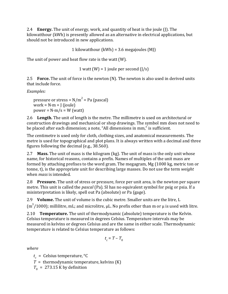2.4 **Energy.** The unit of energy, work, and quantity of heat is the joule (J). The kilowatthour (kWh) is presently allowed as an alternative in electrical applications, but should not be introduced in new applications.

1 kilowatthour  $(kWh) = 3.6$  megajoules  $(MI)$ 

The unit of power and heat flow rate is the watt (W).

1 watt (W) = 1 joule per second  $(J/s)$ 

2.5 **Force.** The unit of force is the newton (N). The newton is also used in derived units that include force.

*Examples:* 

pressure or stress =  $N/m^2$  = Pa (pascal) work =  $N \cdot m$  = J (joule)  $power = N·m/s = W (watt)$ 

2.6 **Length.** The unit of length is the metre. The millimetre is used on architectural or construction drawings and mechanical or shop drawings. The symbol mm does not need to be placed after each dimension; a note, "All dimensions in mm," is sufficient.

The centimetre is used only for cloth, clothing sizes, and anatomical measurements. The metre is used for topographical and plot plans. It is always written with a decimal and three figures following the decimal (e.g., 38.560).

2.7 **Mass.** The unit of mass is the kilogram (kg). The unit of mass is the only unit whose name, for historical reasons, contains a prefix. Names of multiples of the unit mass are formed by attaching prefixes to the word gram. The megagram, Mg (1000 kg, metric ton or tonne, t), is the appropriate unit for describing large masses. Do not use the term *weight*  when *mass* is intended.

2.8 **Pressure.** The unit of stress or pressure, force per unit area, is the newton per square metre. This unit is called the *pascal* (Pa). SI has no equivalent symbol for psig or psia. If a misinterpretation is likely, spell out Pa (absolute) or Pa (gage).

2.9 **Volume.** The unit of volume is the cubic metre. Smaller units are the litre, L

 $(m^3/1000)$ ; millilitre, mL; and microlitre,  $\mu$ L. No prefix other than m or  $\mu$  is used with litre.

2.10 **Temperature.** The unit of thermodynamic (absolute) temperature is the Kelvin. Celsius temperature is measured in degrees Celsius. Temperature intervals may be measured in kelvins or degrees Celsius and are the same in either scale. Thermodynamic temperature is related to Celsius temperature as follows:

$$
t_c = T - T_0
$$

*where* 

 $t_c$  = Celsius temperature,  $\mathrm{C}$ 

 $T =$  thermodynamic temperature, kelvins  $(K)$ 

 $T_0$  = 273.15 K by definition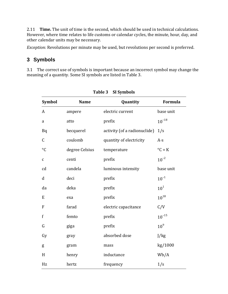2.11 **Time.** The unit of time is the second, which should be used in technical calculations. However, where time relates to life customs or calendar cycles, the minute, hour, day, and other calendar units may be necessary.

*Exception:* Revolutions per minute may be used, but revolutions per second is preferred.

# **3 Symbols**

3.1 The correct use of symbols is important because an incorrect symbol may change the meaning of a quantity. Some SI symbols are listed in Table 3.

| <b>Symbol</b>   | <b>Name</b>    | Quantity                     | Formula                   |
|-----------------|----------------|------------------------------|---------------------------|
| A               | ampere         | electric current             | base unit                 |
| $\rm{a}$        | atto           | prefix                       | $10^{-18}$                |
| Bq              | becquerel      | activity (of a radionuclide) | 1/s                       |
| C               | coulomb        | quantity of electricity      | $A \cdot S$               |
| $\rm ^{\circ}C$ | degree Celsius | temperature                  | $\mathrm{C} = \mathrm{K}$ |
| $\mathbf{C}$    | centi          | prefix                       | $10^{-2}$                 |
| cd              | candela        | luminous intensity           | base unit                 |
| $\mathbf d$     | deci           | prefix                       | $10^{-1}$                 |
| da              | deka           | prefix                       | 10 <sup>1</sup>           |
| E               | exa            | prefix                       | $10^{18}$                 |
| F               | farad          | electric capacitance         | C/V                       |
| $\mathbf f$     | femto          | prefix                       | $10^{-15}$                |
| G               | giga           | prefix                       | 10 <sup>9</sup>           |
| Gy              | gray           | absorbed dose                | J/kg                      |
| g               | gram           | mass                         | kg/1000                   |
| H               | henry          | inductance                   | Wb/A                      |
| Hz              | hertz          | frequency                    | 1/s                       |

#### **Table 3 SI Symbols**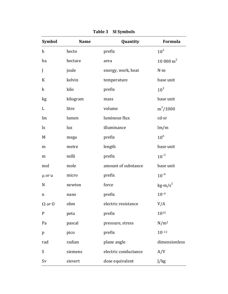| <b>Symbol</b>    | <b>Name</b> | Quantity             | Formula                      |
|------------------|-------------|----------------------|------------------------------|
| $\boldsymbol{h}$ | hecto       | prefix               | $10^2$                       |
| ha               | hectare     | area                 | $10000 m^2$                  |
| J                | joule       | energy, work, heat   | $N \cdot m$                  |
| K                | kelvin      | temperature          | base unit                    |
| $\mathbf k$      | kilo        | prefix               | $10^3$                       |
| kg               | kilogram    | mass                 | base unit                    |
| L                | litre       | volume               | $m^3/1000$                   |
| lm               | lumen       | luminous flux        | cd·sr                        |
| $\mathbf{I}$     | lux         | illuminance          | lm/m                         |
| M                | mega        | prefix               | $10^6$                       |
| ${\bf m}$        | metre       | length               | base unit                    |
| m                | milli       | prefix               | $10^{-3}$                    |
| mol              | mole        | amount of substance  | base unit                    |
| $\mu$ or $\mu$   | micro       | prefix               | $10^{-6}$                    |
| $\mathbf N$      | newton      | force                | $\text{kg}\cdot\text{m/s}^2$ |
| n                | nano        | prefix               | $10^{-9}$                    |
| $\Omega$ or $0$  | ohm         | electric resistance  | V/A                          |
| ${\bf P}$        | peta        | prefix               | 1015                         |
| Pa               | pascal      | pressure, stress     | $N/m^2$                      |
| p                | pico        | prefix               | $10^{-12}$                   |
| rad              | radian      | plane angle          | dimensionless                |
| S                | siemens     | electric conductance | A/V                          |
| Sv               | sievert     | dose equivalent      | J/kg                         |

# **Table 3 SI Symbols**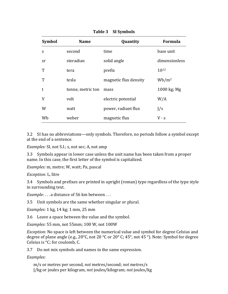| <b>Symbol</b> | <b>Name</b>       | Quantity              | Formula       |
|---------------|-------------------|-----------------------|---------------|
| S             | second            | time                  | base unit     |
| sr            | steradian         | solid angle           | dimensionless |
| T             | tera              | prefix                | 1012          |
| T             | tesla             | magnetic flux density | $Wb/m^2$      |
| t             | tonne, metric ton | mass                  | 1000 kg; Mg   |
| V             | volt              | electric potential    | W/A           |
| W             | watt              | power, radiant flux   | J/s           |
| Wb            | weber             | magnetic flux         | $V \cdot S$   |

#### **Table 3 SI Symbols**

3.2 SI has no abbreviations—only symbols. Therefore, no periods follow a symbol except at the end of a sentence.

*Examples:* SI, not S.I.; s, not sec; A, not amp

3.3 Symbols appear in lower case unless the unit name has been taken from a proper name. In this case, the first letter of the symbol is capitalized.

*Examples:* m, metre; W, watt; Pa, pascal

*Exception:* L, litre

3.4 Symbols and prefixes are printed in upright (roman) type regardless of the type style in surrounding text.

*Example:* . . . a distance of 56 km between . . .

3.5 Unit symbols are the same whether singular or plural.

*Examples:* 1 kg, 14 kg; 1 mm, 25 mm

3.6 Leave a space between the value and the symbol.

*Examples:* 55 mm, not 55mm; 100 W, not 100W

*Exception:* No space is left between the numerical value and symbol for degree Celsius and degree of plane angle (e.g., 20°C, not 20 °C or 20° C; 45°, not 45 °). Note: Symbol for degree Celsius is °C; for coulomb, C.

3.7 Do not mix symbols and names in the same expression.

*Examples:* 

m/s or metres per second, *not* metres/second; *not* metres/s J/kg or joules per kilogram, *not* joules/kilogram; *not* joules/kg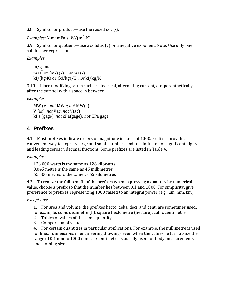3.8 Symbol for product—use the raised dot  $(\cdot)$ .

*Examples:* N·m; mPa·s; W/(m<sup>2</sup> ·K)

3.9 Symbol for quotient—use a solidus (/) or a negative exponent. Note: Use only one solidus per expression.

*Examples:* 

 $m/s$ ; ms<sup>-1</sup> m/s<sup>2</sup> or (m/s)/s, *not* m/s/s kJ/(kg·K) or (kJ/kg)/K, *not* kJ/kg/K

3.10 Place modifying terms such as electrical, alternating current, etc. parenthetically after the symbol with a space in between.

*Examples:* 

MW (e), *not* MWe; *not* MW(e) V (ac), *not* Vac; *not* V(ac) kPa (gage), *not* kPa(gage); *not* KPa gage

#### **4 Prefixes**

4.1 Most prefixes indicate orders of magnitude in steps of 1000. Prefixes provide a convenient way to express large and small numbers and to eliminate nonsignificant digits and leading zeros in decimal fractions. Some prefixes are listed in Table 4.

*Examples:* 

126 000 watts is the same as 126 kilowatts 0.045 metre is the same as 45 millimetres 65 000 metres is the same as 65 kilometres

4.2 To realize the full benefit of the prefixes when expressing a quantity by numerical value, choose a prefix so that the number lies between 0.1 and 1000. For simplicity, give preference to prefixes representing 1000 raised to an integral power (e.g., μm, mm, km).

#### *Exceptions:*

1. For area and volume, the prefixes hecto, deka, deci, and centi are sometimes used; for example, cubic decimetre (L), square hectometre (hectare), cubic centimetre.

- 2. Tables of values of the same quantity.
- 3. Comparison of values.

4. For certain quantities in particular applications. For example, the millimetre is used for linear dimensions in engineering drawings even when the values lie far outside the range of 0.1 mm to 1000 mm; the centimetre is usually used for body measurements and clothing sizes.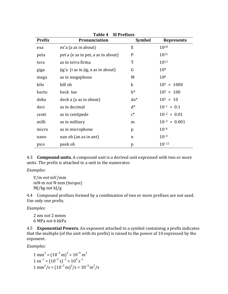| <b>Prefix</b> | ι αυις τ<br>JI I LUIALJ<br><b>Pronunciation</b> | <b>Symbol</b> | <b>Represents</b> |
|---------------|-------------------------------------------------|---------------|-------------------|
| exa           | ex'a (a as in about)                            | E             | 1018              |
| peta          | pet a (e as in pet, a as in about)              | $\mathbf P$   | 1015              |
| tera          | as in terra firma                               | T             | 1012              |
| giga          | jig'a (i as in jig, a as in about)              | G             | 10 <sup>9</sup>   |
| mega          | as in megaphone                                 | M             | 106               |
| kilo          | kill oh                                         | $\bf k$       | $10^3 = 1000$     |
| hecto         | heck toe                                        | $h^*$         | $10^2 = 100$      |
| deka          | deck a (a as in about)                          | $da^*$        | $10^1 = 10$       |
| deci          | as in decimal                                   | $d^*$         | $10^{-1} = 0.1$   |
| centi         | as in centipede                                 | $c^*$         | $10^{-2} = 0.01$  |
| milli         | as in military                                  | m             | $10^{-3} = 0.001$ |
| micro         | as in microphone                                | p             | $10^{-6}$         |
| nano          | nan oh (an as in ant)                           | n             | $10^{-9}$         |
| pico          | peek oh                                         | p             | $10^{-12}$        |

**Table 4 SI Prefixes**

4.3 **Compound units.** A compound unit is a derived unit expressed with two or more units. The prefix is attached to a unit in the numerator.

*Examples:* 

V/m *not* mV/mm mN·m *not* N·mm (torque) MJ/kg not kJ/g

4.4 Compound prefixes formed by a combination of two or more prefixes are not used. Use only one prefix.

*Examples:* 

2 nm *not* 2 mmm 6 MPa *not* 6 kkPa

4.5 **Exponential Powers.** An exponent attached to a symbol containing a prefix indicates that the multiple (of the unit with its prefix) is raised to the power of 10 expressed by the exponent.

*Examples:* 

 $1 \text{ mm}^3 = (10^{-3} \text{ m})^3 = 10^{-9} \text{ m}^3$  $1 \text{ ns}^{-1} = (10^{-9} \text{ s})^{-1} = 10^{9} \text{ s}^{-1}$  $1 \text{ mm}^2/\text{s} = (10^{-3} \text{ m})^2/\text{s} = 10^{-6} \text{ m}^2/\text{s}$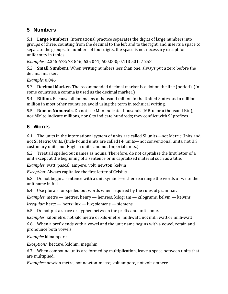### **5 Numbers**

5.1 **Large Numbers.** International practice separates the digits of large numbers into groups of three, counting from the decimal to the left and to the right, and inserts a space to separate the groups. In numbers of four digits, the space is not necessary except for uniformity in tables.

*Examples:* 2.345 678; 73 846; 635 041; 600.000; 0.113 501; 7 258

5.2 **Small Numbers.** When writing numbers less than one, always put a zero before the decimal marker.

*Example:* 0.046

5.3 **Decimal Marker.** The recommended decimal marker is a dot on the line (period). (In some countries, a comma is used as the decimal marker.)

5.4 **Billion.** Because billion means a thousand million in the United States and a million million in most other countries, avoid using the term in technical writing.

5.5 **Roman Numerals.** Do not use M to indicate thousands (MBtu for a thousand Btu), nor MM to indicate millions, nor C to indicate hundreds; they conflict with SI prefixes.

# **6 Words**

6.1 The units in the international system of units are called SI units—not Metric Units and not SI Metric Units. (Inch-Pound units are called I-P units—not conventional units, not U.S. customary units, not English units, and not Imperial units.)

6.2 Treat all spelled out names as nouns. Therefore, do not capitalize the first letter of a unit except at the beginning of a sentence or in capitalized material such as a title.

*Examples:* watt; pascal; ampere; volt; newton; kelvin

*Exception:* Always capitalize the first letter of Celsius.

6.3 Do not begin a sentence with a unit symbol—either rearrange the words or write the unit name in full.

6.4 Use plurals for spelled out words when required by the rules of grammar.

*Examples:* metre — metres; henry — henries; kilogram — kilograms; kelvin — kelvins

*Irregular:* hertz — hertz; lux — lux; siemens — siemens

6.5 Do not put a space or hyphen between the prefix and unit name.

*Examples:* kilometre, not kilo metre or kilo-metre; milliwatt, not milli watt or milli-watt

6.6 When a prefix ends with a vowel and the unit name begins with a vowel, retain and pronounce both vowels.

*Example:* kiloampere

*Exceptions:* hectare; kilohm; megohm

6.7 When compound units are formed by multiplication, leave a space between units that are multiplied.

*Examples:* newton metre, not newton-metre; volt ampere, not volt-ampere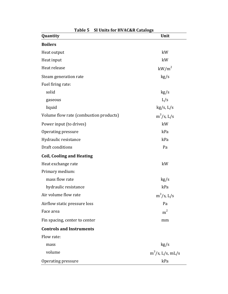| Table 5                                | <b>SI Units for HVAC&amp;R Catalogs</b> |  |  |  |  |  |
|----------------------------------------|-----------------------------------------|--|--|--|--|--|
| Quantity                               | Unit                                    |  |  |  |  |  |
| <b>Boilers</b>                         |                                         |  |  |  |  |  |
| Heat output                            | kW                                      |  |  |  |  |  |
| Heat input                             | kW                                      |  |  |  |  |  |
| Heat release                           | $kW/m^2$                                |  |  |  |  |  |
| Steam generation rate                  | kg/s                                    |  |  |  |  |  |
| Fuel firing rate:                      |                                         |  |  |  |  |  |
| solid                                  | kg/s                                    |  |  |  |  |  |
| gaseous                                | L/s                                     |  |  |  |  |  |
| liquid                                 | kg/s, L/s                               |  |  |  |  |  |
| Volume flow rate (combustion products) | $m^3/s$ , L/s                           |  |  |  |  |  |
| Power input (to drives)                | kW                                      |  |  |  |  |  |
| Operating pressure                     | kPa                                     |  |  |  |  |  |
| Hydraulic resistance                   | kPa                                     |  |  |  |  |  |
| Draft conditions                       | Pa                                      |  |  |  |  |  |
| <b>Coil, Cooling and Heating</b>       |                                         |  |  |  |  |  |
| Heat exchange rate                     | kW                                      |  |  |  |  |  |
| Primary medium:                        |                                         |  |  |  |  |  |
| mass flow rate                         | kg/s                                    |  |  |  |  |  |
| hydraulic resistance                   | kPa                                     |  |  |  |  |  |
| Air volume flow rate                   | $m^3/s$ , L/s                           |  |  |  |  |  |
| Airflow static pressure loss           | Pa                                      |  |  |  |  |  |
| Face area                              | m <sup>2</sup>                          |  |  |  |  |  |
| Fin spacing, center to center          | mm                                      |  |  |  |  |  |
| <b>Controls and Instruments</b>        |                                         |  |  |  |  |  |
| Flow rate:                             |                                         |  |  |  |  |  |
| mass                                   | kg/s                                    |  |  |  |  |  |
| volume                                 | $m^3/s$ , L/s, mL/s                     |  |  |  |  |  |
| Operating pressure                     | kPa                                     |  |  |  |  |  |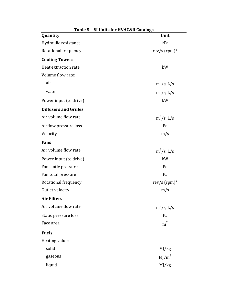| Quantity                     | <b>De Official Textile Catalogs</b><br>Unit |
|------------------------------|---------------------------------------------|
| Hydraulic resistance         | kPa                                         |
| Rotational frequency         | rev/s $(rpm)*$                              |
| <b>Cooling Towers</b>        |                                             |
| Heat extraction rate         | kW                                          |
| Volume flow rate:            |                                             |
| air                          | $m^3/s$ , L/s                               |
| water                        | $m^3/s$ , L/s                               |
| Power input (to drive)       | kW                                          |
| <b>Diffusers and Grilles</b> |                                             |
| Air volume flow rate         | $m^3/s$ , L/s                               |
| Airflow pressure loss        | Pa                                          |
| Velocity                     | m/s                                         |
| Fans                         |                                             |
| Air volume flow rate         | $m^3$ /s, L/s                               |
| Power input (to drive)       | kW                                          |
| Fan static pressure          | Pa                                          |
| Fan total pressure           | Pa                                          |
| Rotational frequency         | rev/s $(rpm)*$                              |
| Outlet velocity              | m/s                                         |
| <b>Air Filters</b>           |                                             |
| Air volume flow rate         | $m^3/s$ , L/s                               |
| Static pressure loss         | Pa                                          |
| Face area                    | m <sup>2</sup>                              |
| <b>Fuels</b>                 |                                             |
| Heating value:               |                                             |
| solid                        | MJ/kg                                       |
| gaseous                      | $MJ/m^3$                                    |
| liquid                       | MJ/kg                                       |

**Table 5 SI Units for HVAC&R Catalogs**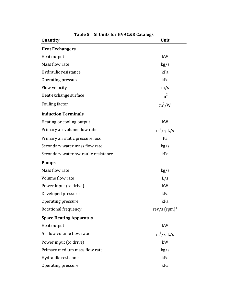| of onto for fivercan datalogo<br>Quantity | Unit           |
|-------------------------------------------|----------------|
| <b>Heat Exchangers</b>                    |                |
| Heat output                               | kW             |
| Mass flow rate                            | kg/s           |
| Hydraulic resistance                      | kPa            |
| Operating pressure                        | kPa            |
| Flow velocity                             | m/s            |
| Heat exchange surface                     | m <sup>2</sup> |
| Fouling factor                            | $m^2/W$        |
| <b>Induction Terminals</b>                |                |
| Heating or cooling output                 | kW             |
| Primary air volume flow rate              | $m^3/s$ , L/s  |
| Primary air static pressure loss          | Pa             |
| Secondary water mass flow rate            | kg/s           |
| Secondary water hydraulic resistance      | kPa            |
| <b>Pumps</b>                              |                |
| Mass flow rate                            | kg/s           |
| Volume flow rate                          | L/s            |
| Power input (to drive)                    | kW             |
| Developed pressure                        | kPa            |
| Operating pressure                        | kPa            |
| Rotational frequency                      | rev/s $(rpm)*$ |
| <b>Space Heating Apparatus</b>            |                |
| Heat output                               | kW             |
| Airflow volume flow rate                  | $m^3/s$ , L/s  |
| Power input (to drive)                    | kW             |
| Primary medium mass flow rate             | kg/s           |
| Hydraulic resistance                      | kPa            |
| Operating pressure                        | kPa            |

**Table 5 SI Units for HVAC&R Catalogs**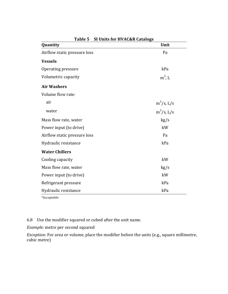| Quantity                     | Unit          |
|------------------------------|---------------|
| Airflow static pressure loss | Pa            |
| <b>Vessels</b>               |               |
| Operating pressure           | kPa           |
| Volumetric capacity          | $m3$ , L      |
| <b>Air Washers</b>           |               |
| Volume flow rate:            |               |
| air                          | $m^3/s$ , L/s |
| water                        | $m^3/s$ , L/s |
| Mass flow rate, water        | kg/s          |
| Power input (to drive)       | kW            |
| Airflow static pressure loss | Pa            |
| Hydraulic resistance         | kPa           |
| <b>Water Chillers</b>        |               |
| Cooling capacity             | kW            |
| Mass flow rate, water        | kg/s          |
| Power input (to drive)       | kW            |
| Refrigerant pressure         | kPa           |
| Hydraulic resistance         | kPa           |

**Table 5 SI Units for HVAC&R Catalogs**

\*Acceptable

6.8 Use the modifier squared or cubed after the unit name.

*Example:* metre per second squared

*Exception:* For area or volume, place the modifier before the units (e.g., square millimetre, cubic metre)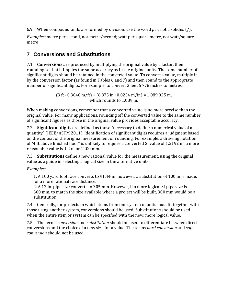6.9 When compound units are formed by division, use the word *per*, not a solidus (/).

*Examples:* metre per second, not metre/second; watt per square metre, not watt/square metre

# **7 Conversions and Substitutions**

7.1 **Conversions** are produced by multiplying the original value by a factor, then rounding so that it implies the same accuracy as in the original units. The same number of significant digits should be retained in the converted value. To convert a value, multiply it by the conversion factor (as found in Tables 6 and 7) and then round to the appropriate number of significant digits. For example, to convert 3 feet 6 7/8 inches to metres:

> $(3 ft \cdot 0.3048 m/ft) + (6.875 in \cdot 0.0254 m/in) = 1.089 025 m,$ which rounds to 1.089 m.

When making conversions, remember that a converted value is no more precise than the original value. For many applications, rounding off the converted value to the same number of significant figures as those in the original value provides acceptable accuracy.

7.2 **Significant digits** are defined as those "necessary to define a numerical value of a quantity" (IEEE/ASTM 2011). Identification of significant digits requires a judgment based on the context of the original measurement or rounding. For example, a drawing notation of "4 ft above finished floor" is unlikely to require a converted SI value of 1.2192 m; a more reasonable value is 1.2 m or 1200 mm.

7.3 **Substitutions** define a new rational value for the measurement, using the original value as a guide in selecting a logical size in the alternative units.

#### *Examples:*

1. A 100 yard foot race converts to 91.44 m; however, a substitution of 100 m is made, for a more rational race distance.

2. A 12 in. pipe size converts to 305 mm. However, if a more logical SI pipe size is 300 mm, to match the size available where a project will be built, 300 mm would be a substitution.

7.4 Generally, for projects in which items from one system of units must fit together with those using another system, conversions should be used. Substitutions should be used when the entire item or system can be specified with the new, more logical value.

7.5 The terms *conversion* and *substitution* should be used to differentiate between direct conversions and the choice of a new size for a value. The terms *hard conversion* and *soft conversion* should not be used.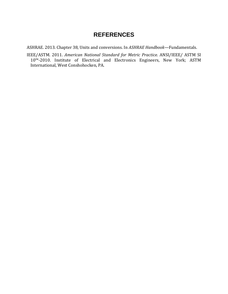# **REFERENCES**

ASHRAE. 2013. Chapter 38, Units and conversions. In *ASHRAE Handbook—*Fundamentals.

IEEE/ASTM. 2011. *American National Standard for Metric Practice.* ANSI/IEEE/ ASTM SI 10™-2010. Institute of Electrical and Electronics Engineers, New York; ASTM International, West Conshohocken, PA.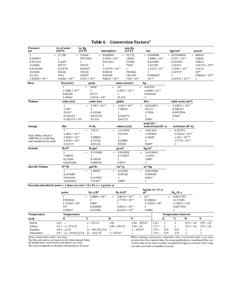| $= 27.708$<br>$\mathbf{1}$<br>$= 2.0360$<br>$= 0.068046$<br>51.715<br>$= 0.068948$<br>$= 0.07030696$<br>$= 6894.8$<br>$\equiv$<br>$2.4559 \times 10^{-3}$<br>$2.4884 \times 10^{-3}$<br>$2.537 \times 10^{-3}$<br>0.036091<br>$\mathbf{1}$<br>0.073483<br>1.8665<br>248.84<br>13.609<br>0.033864<br>0.491154<br>0.033421<br>25.400<br>0.034532<br>3386.4<br>$\mathbf{1}$<br>$1.01325 \times 10^{5*}$<br>14.6960<br>407.19<br>29.921<br>760.0<br>1.01325*<br>1.03323<br>1<br>0.0193368<br>0.53578<br>0.03937<br>$1.31579 \times 10^{-3}$<br>$1.3332 \times 10^{-3}$<br>$1.3595 \times 10^{-3}$<br>133.32<br>$\mathbf{1}$<br>$10^{5*}$<br>14.5038<br>401.86<br>29.530<br>0.98692<br>750.062<br>1.01972*<br>$\mathbf{1}$<br>$9.80665 \times 10^{4*}$<br>14.223<br>28.959<br>0.96784<br>735.559<br>0.980665*<br>394.1<br>$\mathbf{1}$<br>$10^{-5*}$<br>$1.45038 \times 10^{-4}$<br>$4.0186 \times 10^{-3}$<br>$2.953 \times 10^{-4}$<br>$9.8692 \times 10^{-6}$<br>$7.50 \times 10^{-3}$<br>$1.01972 \times 10^{-5*}$<br>$\mathbf{1}$<br>Mass<br>lb (avoir.)<br>kg<br>grain<br>ounce (avoir.)<br>7000*<br>$16*$<br>0.45359<br>$\mathbf{1}$<br>$\equiv$<br>$\equiv$<br>$=$<br>$2.2857 \times 10^{-3}$<br>$6.4800 \times 10^{-5}$<br>$1.4286 \times 10^{-4}$<br>1<br>0.06250<br>437.5*<br>$\mathbf{1}$<br>0.028350<br>$1.5432 \times 10^{4}$<br>35.274<br>2.20462<br>$\mathbf{1}$<br>Volume<br>litre<br>cubic inch<br>cubic foot<br>gallon<br>cubic metre $(m^3)$<br>$5.787 \times 10^{-4}$<br>$4.329 \times 10^{-3}$<br>$1.63871 \times 10^{-5}$<br>$\mathbf{1}$<br>0.0163871<br>$=$<br>1728*<br>7.48052<br>28.317<br>0.028317<br>1<br>231.0*<br>0.13368<br>$\mathbf{1}$<br>3.7854<br>0.0037854<br>0.264173<br>$0.001*$<br>61.02374<br>0.035315<br>1<br>$6.102374 \times 10^{4}$<br>35.315<br>264.173<br>1000*<br>1<br>$ioule(1) =$<br><b>Energy</b><br>Btu<br>ft $\cdot$ lb <sub>f</sub><br>calorie (cal)<br>watt-second $(W \cdot s)$<br>watt-hour $(W \cdot h)$<br>$\,1\,$<br>778.17<br>251.9958<br>1055.056<br>0.293071<br>$3.76616 \times 10^{-4}$<br>$1.2851 \times 10^{-3}$<br>1<br>0.32383<br>1.355818<br>Note: MBtu, which is<br>$3.9683 \times 10^{-3}$<br>$1.163 \times 10^{-3*}$<br>3.08803<br>1<br>4.1868*<br>1000 Btu, is confusing<br>$9.4782 \times 10^{-4}$<br>0.73756<br>0.23885<br>$2.7778 \times 10^{-4}$<br>$\mathbf{1}$<br>and should not be used.<br>3600*<br>2655.22<br>859.85<br>$\mathbf{1}$<br>3.41214<br>lb/ft <sup>3</sup><br>g/cm <sup>3</sup><br><b>Density</b><br>lb/gal<br>kg/m <sup>3</sup><br>$\mathbf{1}$<br>0.133680<br>0.016018<br>16.018463<br>$\equiv$<br>$\equiv$<br>$\equiv$<br>7.48055<br>$\mathbf{1}$<br>0.119827<br>119.827<br>1000*<br>62.4280<br>8.34538<br>1<br>0.008345<br>$0.001*$<br>$\mathbf{1}$<br>0.0624280<br><b>Specific Volume</b><br>$ft^3/lb$<br>gal/lb<br>$\text{cm}^3/\text{g}$<br>$m^3/kg$<br>7.48055<br>62.4280<br>0.0624280<br>$\mathbf{1}$<br>$\equiv$<br>$\equiv$<br>$\equiv$<br>0.133680<br>8.34538<br>0.008345<br>1<br>$0.001*$<br>0.016018<br>0.119827<br>$\mathbf{1}$<br>1000*<br>16.018463<br>119.827<br>$\mathbf{1}$<br>Viscosity (absolute)1 poise = 1 dyne-sec/cm <sup>2</sup> = 0.1 Pa·s = 1 g/(cm·s)<br>$kg/(m \cdot s) = N \cdot s/$<br>$lb_f$ s/ft <sup>2</sup><br>$lb_f \cdot h / ft^2$<br>$lb_m/ft$ s<br>poise<br>m <sup>2</sup><br>$2.0885 \times 10^{-3}$<br>$\mathbf{1}$<br>$5.8014 \times 10^{-7}$<br>$0.1*$<br>0.0671955<br>$\equiv$<br>$\quad =$<br>478.8026<br>$2.7778 \times 10^{-4}$<br>32.17405<br>1<br>47.88026<br>$1.72369 \times 10^{6}$<br>3600*<br>$\mathbf{1}$<br>$1.72369 \times 10^{5}$<br>$1.15827 \times 10^5$<br>$10*$<br>0.0671955<br>0.020885<br>$5.8014 \times 10^{-6}$<br>$\mathbf{1}$<br>14.8819<br>0.031081<br>$8.6336 \times 10^{-6}$<br>1.4882<br>$\mathbf{1}$<br><b>Temperature Interval</b><br><b>Temperature</b><br><b>Temperature</b><br>$\mathbf K$<br>°C<br>$\mathbf{R}^{\circ}$<br>$\circ$ F<br>$\mathbf K$<br>$\circ$ F<br>°C<br>°R<br><b>Scale</b><br>$x - 273.15$<br>1.8x<br>$1.8x - 459.67$<br>$1 K =$<br>$\mathbf{1}$<br>$\mathbf{1}$<br>$9/5 = 1.8$<br>$9/5 = 1.8$<br>Kelvin<br>$x K = x$<br>$1^{\circ}C =$<br>$9/5 = 1.8$<br>Celsius<br>$x^{\circ}C = x + 273.15$<br>$1.8x + 491.67$<br>$1.8x + 32$<br>$\mathbf{1}$<br>$\mathbf{1}$<br>$9/5 = 1.8$<br>$\boldsymbol{x}$<br>5/9<br>Rankine<br>$x^{\circ}R = x/1.8$<br>$x - 459.67$<br>$1^{\circ}R =$<br>5/9<br>$\mathbf{1}$<br>$\mathbf{1}$<br>$(x - 491.67)/1.8$<br>$\boldsymbol{x}$ | Pressure<br>psi | in. of water<br>(60°F) | in. Hg<br>(32°F) | atmosphere | mm Hg<br>(32°F) | bar |                | kgf/cm <sup>2</sup> | pascal       |
|-----------------------------------------------------------------------------------------------------------------------------------------------------------------------------------------------------------------------------------------------------------------------------------------------------------------------------------------------------------------------------------------------------------------------------------------------------------------------------------------------------------------------------------------------------------------------------------------------------------------------------------------------------------------------------------------------------------------------------------------------------------------------------------------------------------------------------------------------------------------------------------------------------------------------------------------------------------------------------------------------------------------------------------------------------------------------------------------------------------------------------------------------------------------------------------------------------------------------------------------------------------------------------------------------------------------------------------------------------------------------------------------------------------------------------------------------------------------------------------------------------------------------------------------------------------------------------------------------------------------------------------------------------------------------------------------------------------------------------------------------------------------------------------------------------------------------------------------------------------------------------------------------------------------------------------------------------------------------------------------------------------------------------------------------------------------------------------------------------------------------------------------------------------------------------------------------------------------------------------------------------------------------------------------------------------------------------------------------------------------------------------------------------------------------------------------------------------------------------------------------------------------------------------------------------------------------------------------------------------------------------------------------------------------------------------------------------------------------------------------------------------------------------------------------------------------------------------------------------------------------------------------------------------------------------------------------------------------------------------------------------------------------------------------------------------------------------------------------------------------------------------------------------------------------------------------------------------------------------------------------------------------------------------------------------------------------------------------------------------------------------------------------------------------------------------------------------------------------------------------------------------------------------------------------------------------------------------------------------------------------------------------------------------------------------------------------------------------------------------------------------------------------------------------------------------------------------------------------------------------------------------------------------------------------------------------------------------------------------------------------------------------------------------------------------------------------------------------------------------------------------------------------------------------------------------------------------------------------------------------------------------------------------------------------------------------------------------------------------------------------------------------------------------------------------------------------------------|-----------------|------------------------|------------------|------------|-----------------|-----|----------------|---------------------|--------------|
|                                                                                                                                                                                                                                                                                                                                                                                                                                                                                                                                                                                                                                                                                                                                                                                                                                                                                                                                                                                                                                                                                                                                                                                                                                                                                                                                                                                                                                                                                                                                                                                                                                                                                                                                                                                                                                                                                                                                                                                                                                                                                                                                                                                                                                                                                                                                                                                                                                                                                                                                                                                                                                                                                                                                                                                                                                                                                                                                                                                                                                                                                                                                                                                                                                                                                                                                                                                                                                                                                                                                                                                                                                                                                                                                                                                                                                                                                                                                                                                                                                                                                                                                                                                                                                                                                                                                                                                                                                                           |                 |                        |                  |            |                 |     |                |                     |              |
|                                                                                                                                                                                                                                                                                                                                                                                                                                                                                                                                                                                                                                                                                                                                                                                                                                                                                                                                                                                                                                                                                                                                                                                                                                                                                                                                                                                                                                                                                                                                                                                                                                                                                                                                                                                                                                                                                                                                                                                                                                                                                                                                                                                                                                                                                                                                                                                                                                                                                                                                                                                                                                                                                                                                                                                                                                                                                                                                                                                                                                                                                                                                                                                                                                                                                                                                                                                                                                                                                                                                                                                                                                                                                                                                                                                                                                                                                                                                                                                                                                                                                                                                                                                                                                                                                                                                                                                                                                                           |                 |                        |                  |            |                 |     |                |                     |              |
|                                                                                                                                                                                                                                                                                                                                                                                                                                                                                                                                                                                                                                                                                                                                                                                                                                                                                                                                                                                                                                                                                                                                                                                                                                                                                                                                                                                                                                                                                                                                                                                                                                                                                                                                                                                                                                                                                                                                                                                                                                                                                                                                                                                                                                                                                                                                                                                                                                                                                                                                                                                                                                                                                                                                                                                                                                                                                                                                                                                                                                                                                                                                                                                                                                                                                                                                                                                                                                                                                                                                                                                                                                                                                                                                                                                                                                                                                                                                                                                                                                                                                                                                                                                                                                                                                                                                                                                                                                                           |                 |                        |                  |            |                 |     |                |                     |              |
|                                                                                                                                                                                                                                                                                                                                                                                                                                                                                                                                                                                                                                                                                                                                                                                                                                                                                                                                                                                                                                                                                                                                                                                                                                                                                                                                                                                                                                                                                                                                                                                                                                                                                                                                                                                                                                                                                                                                                                                                                                                                                                                                                                                                                                                                                                                                                                                                                                                                                                                                                                                                                                                                                                                                                                                                                                                                                                                                                                                                                                                                                                                                                                                                                                                                                                                                                                                                                                                                                                                                                                                                                                                                                                                                                                                                                                                                                                                                                                                                                                                                                                                                                                                                                                                                                                                                                                                                                                                           |                 |                        |                  |            |                 |     |                |                     |              |
|                                                                                                                                                                                                                                                                                                                                                                                                                                                                                                                                                                                                                                                                                                                                                                                                                                                                                                                                                                                                                                                                                                                                                                                                                                                                                                                                                                                                                                                                                                                                                                                                                                                                                                                                                                                                                                                                                                                                                                                                                                                                                                                                                                                                                                                                                                                                                                                                                                                                                                                                                                                                                                                                                                                                                                                                                                                                                                                                                                                                                                                                                                                                                                                                                                                                                                                                                                                                                                                                                                                                                                                                                                                                                                                                                                                                                                                                                                                                                                                                                                                                                                                                                                                                                                                                                                                                                                                                                                                           |                 |                        |                  |            |                 |     |                |                     |              |
|                                                                                                                                                                                                                                                                                                                                                                                                                                                                                                                                                                                                                                                                                                                                                                                                                                                                                                                                                                                                                                                                                                                                                                                                                                                                                                                                                                                                                                                                                                                                                                                                                                                                                                                                                                                                                                                                                                                                                                                                                                                                                                                                                                                                                                                                                                                                                                                                                                                                                                                                                                                                                                                                                                                                                                                                                                                                                                                                                                                                                                                                                                                                                                                                                                                                                                                                                                                                                                                                                                                                                                                                                                                                                                                                                                                                                                                                                                                                                                                                                                                                                                                                                                                                                                                                                                                                                                                                                                                           |                 |                        |                  |            |                 |     |                |                     |              |
|                                                                                                                                                                                                                                                                                                                                                                                                                                                                                                                                                                                                                                                                                                                                                                                                                                                                                                                                                                                                                                                                                                                                                                                                                                                                                                                                                                                                                                                                                                                                                                                                                                                                                                                                                                                                                                                                                                                                                                                                                                                                                                                                                                                                                                                                                                                                                                                                                                                                                                                                                                                                                                                                                                                                                                                                                                                                                                                                                                                                                                                                                                                                                                                                                                                                                                                                                                                                                                                                                                                                                                                                                                                                                                                                                                                                                                                                                                                                                                                                                                                                                                                                                                                                                                                                                                                                                                                                                                                           |                 |                        |                  |            |                 |     |                |                     |              |
|                                                                                                                                                                                                                                                                                                                                                                                                                                                                                                                                                                                                                                                                                                                                                                                                                                                                                                                                                                                                                                                                                                                                                                                                                                                                                                                                                                                                                                                                                                                                                                                                                                                                                                                                                                                                                                                                                                                                                                                                                                                                                                                                                                                                                                                                                                                                                                                                                                                                                                                                                                                                                                                                                                                                                                                                                                                                                                                                                                                                                                                                                                                                                                                                                                                                                                                                                                                                                                                                                                                                                                                                                                                                                                                                                                                                                                                                                                                                                                                                                                                                                                                                                                                                                                                                                                                                                                                                                                                           |                 |                        |                  |            |                 |     |                |                     |              |
|                                                                                                                                                                                                                                                                                                                                                                                                                                                                                                                                                                                                                                                                                                                                                                                                                                                                                                                                                                                                                                                                                                                                                                                                                                                                                                                                                                                                                                                                                                                                                                                                                                                                                                                                                                                                                                                                                                                                                                                                                                                                                                                                                                                                                                                                                                                                                                                                                                                                                                                                                                                                                                                                                                                                                                                                                                                                                                                                                                                                                                                                                                                                                                                                                                                                                                                                                                                                                                                                                                                                                                                                                                                                                                                                                                                                                                                                                                                                                                                                                                                                                                                                                                                                                                                                                                                                                                                                                                                           |                 |                        |                  |            |                 |     |                |                     |              |
|                                                                                                                                                                                                                                                                                                                                                                                                                                                                                                                                                                                                                                                                                                                                                                                                                                                                                                                                                                                                                                                                                                                                                                                                                                                                                                                                                                                                                                                                                                                                                                                                                                                                                                                                                                                                                                                                                                                                                                                                                                                                                                                                                                                                                                                                                                                                                                                                                                                                                                                                                                                                                                                                                                                                                                                                                                                                                                                                                                                                                                                                                                                                                                                                                                                                                                                                                                                                                                                                                                                                                                                                                                                                                                                                                                                                                                                                                                                                                                                                                                                                                                                                                                                                                                                                                                                                                                                                                                                           |                 |                        |                  |            |                 |     |                |                     |              |
|                                                                                                                                                                                                                                                                                                                                                                                                                                                                                                                                                                                                                                                                                                                                                                                                                                                                                                                                                                                                                                                                                                                                                                                                                                                                                                                                                                                                                                                                                                                                                                                                                                                                                                                                                                                                                                                                                                                                                                                                                                                                                                                                                                                                                                                                                                                                                                                                                                                                                                                                                                                                                                                                                                                                                                                                                                                                                                                                                                                                                                                                                                                                                                                                                                                                                                                                                                                                                                                                                                                                                                                                                                                                                                                                                                                                                                                                                                                                                                                                                                                                                                                                                                                                                                                                                                                                                                                                                                                           |                 |                        |                  |            |                 |     |                |                     |              |
|                                                                                                                                                                                                                                                                                                                                                                                                                                                                                                                                                                                                                                                                                                                                                                                                                                                                                                                                                                                                                                                                                                                                                                                                                                                                                                                                                                                                                                                                                                                                                                                                                                                                                                                                                                                                                                                                                                                                                                                                                                                                                                                                                                                                                                                                                                                                                                                                                                                                                                                                                                                                                                                                                                                                                                                                                                                                                                                                                                                                                                                                                                                                                                                                                                                                                                                                                                                                                                                                                                                                                                                                                                                                                                                                                                                                                                                                                                                                                                                                                                                                                                                                                                                                                                                                                                                                                                                                                                                           |                 |                        |                  |            |                 |     |                |                     |              |
|                                                                                                                                                                                                                                                                                                                                                                                                                                                                                                                                                                                                                                                                                                                                                                                                                                                                                                                                                                                                                                                                                                                                                                                                                                                                                                                                                                                                                                                                                                                                                                                                                                                                                                                                                                                                                                                                                                                                                                                                                                                                                                                                                                                                                                                                                                                                                                                                                                                                                                                                                                                                                                                                                                                                                                                                                                                                                                                                                                                                                                                                                                                                                                                                                                                                                                                                                                                                                                                                                                                                                                                                                                                                                                                                                                                                                                                                                                                                                                                                                                                                                                                                                                                                                                                                                                                                                                                                                                                           |                 |                        |                  |            |                 |     |                |                     |              |
|                                                                                                                                                                                                                                                                                                                                                                                                                                                                                                                                                                                                                                                                                                                                                                                                                                                                                                                                                                                                                                                                                                                                                                                                                                                                                                                                                                                                                                                                                                                                                                                                                                                                                                                                                                                                                                                                                                                                                                                                                                                                                                                                                                                                                                                                                                                                                                                                                                                                                                                                                                                                                                                                                                                                                                                                                                                                                                                                                                                                                                                                                                                                                                                                                                                                                                                                                                                                                                                                                                                                                                                                                                                                                                                                                                                                                                                                                                                                                                                                                                                                                                                                                                                                                                                                                                                                                                                                                                                           |                 |                        |                  |            |                 |     |                |                     |              |
|                                                                                                                                                                                                                                                                                                                                                                                                                                                                                                                                                                                                                                                                                                                                                                                                                                                                                                                                                                                                                                                                                                                                                                                                                                                                                                                                                                                                                                                                                                                                                                                                                                                                                                                                                                                                                                                                                                                                                                                                                                                                                                                                                                                                                                                                                                                                                                                                                                                                                                                                                                                                                                                                                                                                                                                                                                                                                                                                                                                                                                                                                                                                                                                                                                                                                                                                                                                                                                                                                                                                                                                                                                                                                                                                                                                                                                                                                                                                                                                                                                                                                                                                                                                                                                                                                                                                                                                                                                                           |                 |                        |                  |            |                 |     |                |                     |              |
|                                                                                                                                                                                                                                                                                                                                                                                                                                                                                                                                                                                                                                                                                                                                                                                                                                                                                                                                                                                                                                                                                                                                                                                                                                                                                                                                                                                                                                                                                                                                                                                                                                                                                                                                                                                                                                                                                                                                                                                                                                                                                                                                                                                                                                                                                                                                                                                                                                                                                                                                                                                                                                                                                                                                                                                                                                                                                                                                                                                                                                                                                                                                                                                                                                                                                                                                                                                                                                                                                                                                                                                                                                                                                                                                                                                                                                                                                                                                                                                                                                                                                                                                                                                                                                                                                                                                                                                                                                                           |                 |                        |                  |            |                 |     |                |                     |              |
|                                                                                                                                                                                                                                                                                                                                                                                                                                                                                                                                                                                                                                                                                                                                                                                                                                                                                                                                                                                                                                                                                                                                                                                                                                                                                                                                                                                                                                                                                                                                                                                                                                                                                                                                                                                                                                                                                                                                                                                                                                                                                                                                                                                                                                                                                                                                                                                                                                                                                                                                                                                                                                                                                                                                                                                                                                                                                                                                                                                                                                                                                                                                                                                                                                                                                                                                                                                                                                                                                                                                                                                                                                                                                                                                                                                                                                                                                                                                                                                                                                                                                                                                                                                                                                                                                                                                                                                                                                                           |                 |                        |                  |            |                 |     |                |                     |              |
|                                                                                                                                                                                                                                                                                                                                                                                                                                                                                                                                                                                                                                                                                                                                                                                                                                                                                                                                                                                                                                                                                                                                                                                                                                                                                                                                                                                                                                                                                                                                                                                                                                                                                                                                                                                                                                                                                                                                                                                                                                                                                                                                                                                                                                                                                                                                                                                                                                                                                                                                                                                                                                                                                                                                                                                                                                                                                                                                                                                                                                                                                                                                                                                                                                                                                                                                                                                                                                                                                                                                                                                                                                                                                                                                                                                                                                                                                                                                                                                                                                                                                                                                                                                                                                                                                                                                                                                                                                                           |                 |                        |                  |            |                 |     |                |                     |              |
|                                                                                                                                                                                                                                                                                                                                                                                                                                                                                                                                                                                                                                                                                                                                                                                                                                                                                                                                                                                                                                                                                                                                                                                                                                                                                                                                                                                                                                                                                                                                                                                                                                                                                                                                                                                                                                                                                                                                                                                                                                                                                                                                                                                                                                                                                                                                                                                                                                                                                                                                                                                                                                                                                                                                                                                                                                                                                                                                                                                                                                                                                                                                                                                                                                                                                                                                                                                                                                                                                                                                                                                                                                                                                                                                                                                                                                                                                                                                                                                                                                                                                                                                                                                                                                                                                                                                                                                                                                                           |                 |                        |                  |            |                 |     |                |                     |              |
|                                                                                                                                                                                                                                                                                                                                                                                                                                                                                                                                                                                                                                                                                                                                                                                                                                                                                                                                                                                                                                                                                                                                                                                                                                                                                                                                                                                                                                                                                                                                                                                                                                                                                                                                                                                                                                                                                                                                                                                                                                                                                                                                                                                                                                                                                                                                                                                                                                                                                                                                                                                                                                                                                                                                                                                                                                                                                                                                                                                                                                                                                                                                                                                                                                                                                                                                                                                                                                                                                                                                                                                                                                                                                                                                                                                                                                                                                                                                                                                                                                                                                                                                                                                                                                                                                                                                                                                                                                                           |                 |                        |                  |            |                 |     |                |                     |              |
|                                                                                                                                                                                                                                                                                                                                                                                                                                                                                                                                                                                                                                                                                                                                                                                                                                                                                                                                                                                                                                                                                                                                                                                                                                                                                                                                                                                                                                                                                                                                                                                                                                                                                                                                                                                                                                                                                                                                                                                                                                                                                                                                                                                                                                                                                                                                                                                                                                                                                                                                                                                                                                                                                                                                                                                                                                                                                                                                                                                                                                                                                                                                                                                                                                                                                                                                                                                                                                                                                                                                                                                                                                                                                                                                                                                                                                                                                                                                                                                                                                                                                                                                                                                                                                                                                                                                                                                                                                                           |                 |                        |                  |            |                 |     |                |                     |              |
|                                                                                                                                                                                                                                                                                                                                                                                                                                                                                                                                                                                                                                                                                                                                                                                                                                                                                                                                                                                                                                                                                                                                                                                                                                                                                                                                                                                                                                                                                                                                                                                                                                                                                                                                                                                                                                                                                                                                                                                                                                                                                                                                                                                                                                                                                                                                                                                                                                                                                                                                                                                                                                                                                                                                                                                                                                                                                                                                                                                                                                                                                                                                                                                                                                                                                                                                                                                                                                                                                                                                                                                                                                                                                                                                                                                                                                                                                                                                                                                                                                                                                                                                                                                                                                                                                                                                                                                                                                                           |                 |                        |                  |            |                 |     |                |                     |              |
|                                                                                                                                                                                                                                                                                                                                                                                                                                                                                                                                                                                                                                                                                                                                                                                                                                                                                                                                                                                                                                                                                                                                                                                                                                                                                                                                                                                                                                                                                                                                                                                                                                                                                                                                                                                                                                                                                                                                                                                                                                                                                                                                                                                                                                                                                                                                                                                                                                                                                                                                                                                                                                                                                                                                                                                                                                                                                                                                                                                                                                                                                                                                                                                                                                                                                                                                                                                                                                                                                                                                                                                                                                                                                                                                                                                                                                                                                                                                                                                                                                                                                                                                                                                                                                                                                                                                                                                                                                                           |                 |                        |                  |            |                 |     |                |                     |              |
|                                                                                                                                                                                                                                                                                                                                                                                                                                                                                                                                                                                                                                                                                                                                                                                                                                                                                                                                                                                                                                                                                                                                                                                                                                                                                                                                                                                                                                                                                                                                                                                                                                                                                                                                                                                                                                                                                                                                                                                                                                                                                                                                                                                                                                                                                                                                                                                                                                                                                                                                                                                                                                                                                                                                                                                                                                                                                                                                                                                                                                                                                                                                                                                                                                                                                                                                                                                                                                                                                                                                                                                                                                                                                                                                                                                                                                                                                                                                                                                                                                                                                                                                                                                                                                                                                                                                                                                                                                                           |                 |                        |                  |            |                 |     |                |                     |              |
|                                                                                                                                                                                                                                                                                                                                                                                                                                                                                                                                                                                                                                                                                                                                                                                                                                                                                                                                                                                                                                                                                                                                                                                                                                                                                                                                                                                                                                                                                                                                                                                                                                                                                                                                                                                                                                                                                                                                                                                                                                                                                                                                                                                                                                                                                                                                                                                                                                                                                                                                                                                                                                                                                                                                                                                                                                                                                                                                                                                                                                                                                                                                                                                                                                                                                                                                                                                                                                                                                                                                                                                                                                                                                                                                                                                                                                                                                                                                                                                                                                                                                                                                                                                                                                                                                                                                                                                                                                                           |                 |                        |                  |            |                 |     |                |                     |              |
|                                                                                                                                                                                                                                                                                                                                                                                                                                                                                                                                                                                                                                                                                                                                                                                                                                                                                                                                                                                                                                                                                                                                                                                                                                                                                                                                                                                                                                                                                                                                                                                                                                                                                                                                                                                                                                                                                                                                                                                                                                                                                                                                                                                                                                                                                                                                                                                                                                                                                                                                                                                                                                                                                                                                                                                                                                                                                                                                                                                                                                                                                                                                                                                                                                                                                                                                                                                                                                                                                                                                                                                                                                                                                                                                                                                                                                                                                                                                                                                                                                                                                                                                                                                                                                                                                                                                                                                                                                                           |                 |                        |                  |            |                 |     |                |                     |              |
|                                                                                                                                                                                                                                                                                                                                                                                                                                                                                                                                                                                                                                                                                                                                                                                                                                                                                                                                                                                                                                                                                                                                                                                                                                                                                                                                                                                                                                                                                                                                                                                                                                                                                                                                                                                                                                                                                                                                                                                                                                                                                                                                                                                                                                                                                                                                                                                                                                                                                                                                                                                                                                                                                                                                                                                                                                                                                                                                                                                                                                                                                                                                                                                                                                                                                                                                                                                                                                                                                                                                                                                                                                                                                                                                                                                                                                                                                                                                                                                                                                                                                                                                                                                                                                                                                                                                                                                                                                                           |                 |                        |                  |            |                 |     |                |                     |              |
|                                                                                                                                                                                                                                                                                                                                                                                                                                                                                                                                                                                                                                                                                                                                                                                                                                                                                                                                                                                                                                                                                                                                                                                                                                                                                                                                                                                                                                                                                                                                                                                                                                                                                                                                                                                                                                                                                                                                                                                                                                                                                                                                                                                                                                                                                                                                                                                                                                                                                                                                                                                                                                                                                                                                                                                                                                                                                                                                                                                                                                                                                                                                                                                                                                                                                                                                                                                                                                                                                                                                                                                                                                                                                                                                                                                                                                                                                                                                                                                                                                                                                                                                                                                                                                                                                                                                                                                                                                                           |                 |                        |                  |            |                 |     |                |                     |              |
|                                                                                                                                                                                                                                                                                                                                                                                                                                                                                                                                                                                                                                                                                                                                                                                                                                                                                                                                                                                                                                                                                                                                                                                                                                                                                                                                                                                                                                                                                                                                                                                                                                                                                                                                                                                                                                                                                                                                                                                                                                                                                                                                                                                                                                                                                                                                                                                                                                                                                                                                                                                                                                                                                                                                                                                                                                                                                                                                                                                                                                                                                                                                                                                                                                                                                                                                                                                                                                                                                                                                                                                                                                                                                                                                                                                                                                                                                                                                                                                                                                                                                                                                                                                                                                                                                                                                                                                                                                                           |                 |                        |                  |            |                 |     |                |                     |              |
|                                                                                                                                                                                                                                                                                                                                                                                                                                                                                                                                                                                                                                                                                                                                                                                                                                                                                                                                                                                                                                                                                                                                                                                                                                                                                                                                                                                                                                                                                                                                                                                                                                                                                                                                                                                                                                                                                                                                                                                                                                                                                                                                                                                                                                                                                                                                                                                                                                                                                                                                                                                                                                                                                                                                                                                                                                                                                                                                                                                                                                                                                                                                                                                                                                                                                                                                                                                                                                                                                                                                                                                                                                                                                                                                                                                                                                                                                                                                                                                                                                                                                                                                                                                                                                                                                                                                                                                                                                                           |                 |                        |                  |            |                 |     |                |                     |              |
|                                                                                                                                                                                                                                                                                                                                                                                                                                                                                                                                                                                                                                                                                                                                                                                                                                                                                                                                                                                                                                                                                                                                                                                                                                                                                                                                                                                                                                                                                                                                                                                                                                                                                                                                                                                                                                                                                                                                                                                                                                                                                                                                                                                                                                                                                                                                                                                                                                                                                                                                                                                                                                                                                                                                                                                                                                                                                                                                                                                                                                                                                                                                                                                                                                                                                                                                                                                                                                                                                                                                                                                                                                                                                                                                                                                                                                                                                                                                                                                                                                                                                                                                                                                                                                                                                                                                                                                                                                                           |                 |                        |                  |            |                 |     |                |                     |              |
|                                                                                                                                                                                                                                                                                                                                                                                                                                                                                                                                                                                                                                                                                                                                                                                                                                                                                                                                                                                                                                                                                                                                                                                                                                                                                                                                                                                                                                                                                                                                                                                                                                                                                                                                                                                                                                                                                                                                                                                                                                                                                                                                                                                                                                                                                                                                                                                                                                                                                                                                                                                                                                                                                                                                                                                                                                                                                                                                                                                                                                                                                                                                                                                                                                                                                                                                                                                                                                                                                                                                                                                                                                                                                                                                                                                                                                                                                                                                                                                                                                                                                                                                                                                                                                                                                                                                                                                                                                                           |                 |                        |                  |            |                 |     |                |                     |              |
|                                                                                                                                                                                                                                                                                                                                                                                                                                                                                                                                                                                                                                                                                                                                                                                                                                                                                                                                                                                                                                                                                                                                                                                                                                                                                                                                                                                                                                                                                                                                                                                                                                                                                                                                                                                                                                                                                                                                                                                                                                                                                                                                                                                                                                                                                                                                                                                                                                                                                                                                                                                                                                                                                                                                                                                                                                                                                                                                                                                                                                                                                                                                                                                                                                                                                                                                                                                                                                                                                                                                                                                                                                                                                                                                                                                                                                                                                                                                                                                                                                                                                                                                                                                                                                                                                                                                                                                                                                                           |                 |                        |                  |            |                 |     |                |                     |              |
|                                                                                                                                                                                                                                                                                                                                                                                                                                                                                                                                                                                                                                                                                                                                                                                                                                                                                                                                                                                                                                                                                                                                                                                                                                                                                                                                                                                                                                                                                                                                                                                                                                                                                                                                                                                                                                                                                                                                                                                                                                                                                                                                                                                                                                                                                                                                                                                                                                                                                                                                                                                                                                                                                                                                                                                                                                                                                                                                                                                                                                                                                                                                                                                                                                                                                                                                                                                                                                                                                                                                                                                                                                                                                                                                                                                                                                                                                                                                                                                                                                                                                                                                                                                                                                                                                                                                                                                                                                                           |                 |                        |                  |            |                 |     |                |                     |              |
|                                                                                                                                                                                                                                                                                                                                                                                                                                                                                                                                                                                                                                                                                                                                                                                                                                                                                                                                                                                                                                                                                                                                                                                                                                                                                                                                                                                                                                                                                                                                                                                                                                                                                                                                                                                                                                                                                                                                                                                                                                                                                                                                                                                                                                                                                                                                                                                                                                                                                                                                                                                                                                                                                                                                                                                                                                                                                                                                                                                                                                                                                                                                                                                                                                                                                                                                                                                                                                                                                                                                                                                                                                                                                                                                                                                                                                                                                                                                                                                                                                                                                                                                                                                                                                                                                                                                                                                                                                                           |                 |                        |                  |            |                 |     |                |                     |              |
|                                                                                                                                                                                                                                                                                                                                                                                                                                                                                                                                                                                                                                                                                                                                                                                                                                                                                                                                                                                                                                                                                                                                                                                                                                                                                                                                                                                                                                                                                                                                                                                                                                                                                                                                                                                                                                                                                                                                                                                                                                                                                                                                                                                                                                                                                                                                                                                                                                                                                                                                                                                                                                                                                                                                                                                                                                                                                                                                                                                                                                                                                                                                                                                                                                                                                                                                                                                                                                                                                                                                                                                                                                                                                                                                                                                                                                                                                                                                                                                                                                                                                                                                                                                                                                                                                                                                                                                                                                                           |                 |                        |                  |            |                 |     |                |                     |              |
|                                                                                                                                                                                                                                                                                                                                                                                                                                                                                                                                                                                                                                                                                                                                                                                                                                                                                                                                                                                                                                                                                                                                                                                                                                                                                                                                                                                                                                                                                                                                                                                                                                                                                                                                                                                                                                                                                                                                                                                                                                                                                                                                                                                                                                                                                                                                                                                                                                                                                                                                                                                                                                                                                                                                                                                                                                                                                                                                                                                                                                                                                                                                                                                                                                                                                                                                                                                                                                                                                                                                                                                                                                                                                                                                                                                                                                                                                                                                                                                                                                                                                                                                                                                                                                                                                                                                                                                                                                                           |                 |                        |                  |            |                 |     |                |                     |              |
|                                                                                                                                                                                                                                                                                                                                                                                                                                                                                                                                                                                                                                                                                                                                                                                                                                                                                                                                                                                                                                                                                                                                                                                                                                                                                                                                                                                                                                                                                                                                                                                                                                                                                                                                                                                                                                                                                                                                                                                                                                                                                                                                                                                                                                                                                                                                                                                                                                                                                                                                                                                                                                                                                                                                                                                                                                                                                                                                                                                                                                                                                                                                                                                                                                                                                                                                                                                                                                                                                                                                                                                                                                                                                                                                                                                                                                                                                                                                                                                                                                                                                                                                                                                                                                                                                                                                                                                                                                                           |                 |                        |                  |            |                 |     |                |                     |              |
|                                                                                                                                                                                                                                                                                                                                                                                                                                                                                                                                                                                                                                                                                                                                                                                                                                                                                                                                                                                                                                                                                                                                                                                                                                                                                                                                                                                                                                                                                                                                                                                                                                                                                                                                                                                                                                                                                                                                                                                                                                                                                                                                                                                                                                                                                                                                                                                                                                                                                                                                                                                                                                                                                                                                                                                                                                                                                                                                                                                                                                                                                                                                                                                                                                                                                                                                                                                                                                                                                                                                                                                                                                                                                                                                                                                                                                                                                                                                                                                                                                                                                                                                                                                                                                                                                                                                                                                                                                                           |                 |                        |                  |            |                 |     |                |                     |              |
|                                                                                                                                                                                                                                                                                                                                                                                                                                                                                                                                                                                                                                                                                                                                                                                                                                                                                                                                                                                                                                                                                                                                                                                                                                                                                                                                                                                                                                                                                                                                                                                                                                                                                                                                                                                                                                                                                                                                                                                                                                                                                                                                                                                                                                                                                                                                                                                                                                                                                                                                                                                                                                                                                                                                                                                                                                                                                                                                                                                                                                                                                                                                                                                                                                                                                                                                                                                                                                                                                                                                                                                                                                                                                                                                                                                                                                                                                                                                                                                                                                                                                                                                                                                                                                                                                                                                                                                                                                                           |                 |                        |                  |            |                 |     |                |                     |              |
|                                                                                                                                                                                                                                                                                                                                                                                                                                                                                                                                                                                                                                                                                                                                                                                                                                                                                                                                                                                                                                                                                                                                                                                                                                                                                                                                                                                                                                                                                                                                                                                                                                                                                                                                                                                                                                                                                                                                                                                                                                                                                                                                                                                                                                                                                                                                                                                                                                                                                                                                                                                                                                                                                                                                                                                                                                                                                                                                                                                                                                                                                                                                                                                                                                                                                                                                                                                                                                                                                                                                                                                                                                                                                                                                                                                                                                                                                                                                                                                                                                                                                                                                                                                                                                                                                                                                                                                                                                                           |                 |                        |                  |            |                 |     |                |                     |              |
|                                                                                                                                                                                                                                                                                                                                                                                                                                                                                                                                                                                                                                                                                                                                                                                                                                                                                                                                                                                                                                                                                                                                                                                                                                                                                                                                                                                                                                                                                                                                                                                                                                                                                                                                                                                                                                                                                                                                                                                                                                                                                                                                                                                                                                                                                                                                                                                                                                                                                                                                                                                                                                                                                                                                                                                                                                                                                                                                                                                                                                                                                                                                                                                                                                                                                                                                                                                                                                                                                                                                                                                                                                                                                                                                                                                                                                                                                                                                                                                                                                                                                                                                                                                                                                                                                                                                                                                                                                                           |                 |                        |                  |            |                 |     |                |                     |              |
|                                                                                                                                                                                                                                                                                                                                                                                                                                                                                                                                                                                                                                                                                                                                                                                                                                                                                                                                                                                                                                                                                                                                                                                                                                                                                                                                                                                                                                                                                                                                                                                                                                                                                                                                                                                                                                                                                                                                                                                                                                                                                                                                                                                                                                                                                                                                                                                                                                                                                                                                                                                                                                                                                                                                                                                                                                                                                                                                                                                                                                                                                                                                                                                                                                                                                                                                                                                                                                                                                                                                                                                                                                                                                                                                                                                                                                                                                                                                                                                                                                                                                                                                                                                                                                                                                                                                                                                                                                                           |                 |                        |                  |            |                 |     |                |                     |              |
|                                                                                                                                                                                                                                                                                                                                                                                                                                                                                                                                                                                                                                                                                                                                                                                                                                                                                                                                                                                                                                                                                                                                                                                                                                                                                                                                                                                                                                                                                                                                                                                                                                                                                                                                                                                                                                                                                                                                                                                                                                                                                                                                                                                                                                                                                                                                                                                                                                                                                                                                                                                                                                                                                                                                                                                                                                                                                                                                                                                                                                                                                                                                                                                                                                                                                                                                                                                                                                                                                                                                                                                                                                                                                                                                                                                                                                                                                                                                                                                                                                                                                                                                                                                                                                                                                                                                                                                                                                                           |                 |                        |                  |            |                 |     |                |                     |              |
|                                                                                                                                                                                                                                                                                                                                                                                                                                                                                                                                                                                                                                                                                                                                                                                                                                                                                                                                                                                                                                                                                                                                                                                                                                                                                                                                                                                                                                                                                                                                                                                                                                                                                                                                                                                                                                                                                                                                                                                                                                                                                                                                                                                                                                                                                                                                                                                                                                                                                                                                                                                                                                                                                                                                                                                                                                                                                                                                                                                                                                                                                                                                                                                                                                                                                                                                                                                                                                                                                                                                                                                                                                                                                                                                                                                                                                                                                                                                                                                                                                                                                                                                                                                                                                                                                                                                                                                                                                                           |                 |                        |                  |            |                 |     |                |                     |              |
|                                                                                                                                                                                                                                                                                                                                                                                                                                                                                                                                                                                                                                                                                                                                                                                                                                                                                                                                                                                                                                                                                                                                                                                                                                                                                                                                                                                                                                                                                                                                                                                                                                                                                                                                                                                                                                                                                                                                                                                                                                                                                                                                                                                                                                                                                                                                                                                                                                                                                                                                                                                                                                                                                                                                                                                                                                                                                                                                                                                                                                                                                                                                                                                                                                                                                                                                                                                                                                                                                                                                                                                                                                                                                                                                                                                                                                                                                                                                                                                                                                                                                                                                                                                                                                                                                                                                                                                                                                                           |                 |                        |                  |            |                 |     |                |                     |              |
|                                                                                                                                                                                                                                                                                                                                                                                                                                                                                                                                                                                                                                                                                                                                                                                                                                                                                                                                                                                                                                                                                                                                                                                                                                                                                                                                                                                                                                                                                                                                                                                                                                                                                                                                                                                                                                                                                                                                                                                                                                                                                                                                                                                                                                                                                                                                                                                                                                                                                                                                                                                                                                                                                                                                                                                                                                                                                                                                                                                                                                                                                                                                                                                                                                                                                                                                                                                                                                                                                                                                                                                                                                                                                                                                                                                                                                                                                                                                                                                                                                                                                                                                                                                                                                                                                                                                                                                                                                                           |                 |                        |                  |            |                 |     |                |                     |              |
| $x^{\circ}$ F = $(x + 459.67)/1.8$<br>$(x - 32)/1.8$<br>$x + 459.67$<br>5/9<br>Fahrenheit<br>$\boldsymbol{x}$                                                                                                                                                                                                                                                                                                                                                                                                                                                                                                                                                                                                                                                                                                                                                                                                                                                                                                                                                                                                                                                                                                                                                                                                                                                                                                                                                                                                                                                                                                                                                                                                                                                                                                                                                                                                                                                                                                                                                                                                                                                                                                                                                                                                                                                                                                                                                                                                                                                                                                                                                                                                                                                                                                                                                                                                                                                                                                                                                                                                                                                                                                                                                                                                                                                                                                                                                                                                                                                                                                                                                                                                                                                                                                                                                                                                                                                                                                                                                                                                                                                                                                                                                                                                                                                                                                                                             |                 |                        |                  |            |                 |     | $1^{\circ}F =$ | 5/9<br>$\mathbf{1}$ | $\mathbf{1}$ |

#### **Table 6 Conversion Factors†**

*Notes*: Conversions with \* are exact. The Btu and calorie are based on the International Table.

All temperature conversions and factors are exact. The term centigrade is obsolete and should not be used.

†When making conversions, remember that a converted value is no more precise than the original value. For many applications, rounding off the con-verted value to the same number of significant figures as those in the original value provides acceptable accuracy.